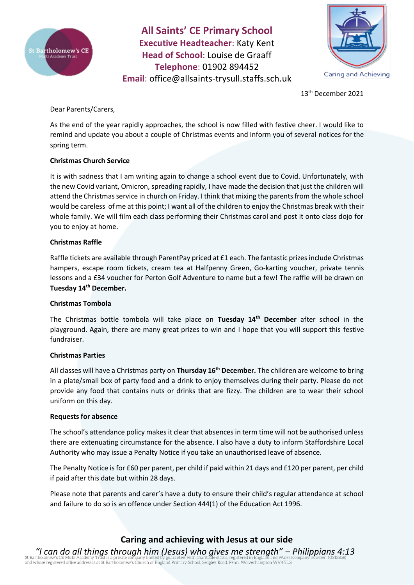

**All Saints' CE Primary School Executive Headteacher**: Katy Kent **Head of School**: Louise de Graaff **Telephone**: 01902 894452 **Email**: [office@allsaints-trysull.staffs.sch.uk](mailto:office@allsaints-trysull.staffs.sch.uk)



13th December 2021

Dear Parents/Carers,

As the end of the year rapidly approaches, the school is now filled with festive cheer. I would like to remind and update you about a couple of Christmas events and inform you of several notices for the spring term.

## **Christmas Church Service**

It is with sadness that I am writing again to change a school event due to Covid. Unfortunately, with the new Covid variant, Omicron, spreading rapidly, I have made the decision that just the children will attend the Christmas service in church on Friday. I think that mixing the parents from the whole school would be careless of me at this point; I want all of the children to enjoy the Christmas break with their whole family. We will film each class performing their Christmas carol and post it onto class dojo for you to enjoy at home.

## **Christmas Raffle**

Raffle tickets are available through ParentPay priced at £1 each. The fantastic prizes include Christmas hampers, escape room tickets, cream tea at Halfpenny Green, Go-karting voucher, private tennis lessons and a £34 voucher for Perton Golf Adventure to name but a few! The raffle will be drawn on **Tuesday 14th December.**

#### **Christmas Tombola**

The Christmas bottle tombola will take place on **Tuesday 14th December** after school in the playground. Again, there are many great prizes to win and I hope that you will support this festive fundraiser.

## **Christmas Parties**

All classes will have a Christmas party on **Thursday 16th December.** The children are welcome to bring in a plate/small box of party food and a drink to enjoy themselves during their party. Please do not provide any food that contains nuts or drinks that are fizzy. The children are to wear their school uniform on this day.

#### **Requests for absence**

The school's attendance policy makes it clear that absences in term time will not be authorised unless there are extenuating circumstance for the absence. I also have a duty to inform Staffordshire Local Authority who may issue a Penalty Notice if you take an unauthorised leave of absence.

The Penalty Notice is for £60 per parent, per child if paid within 21 days and £120 per parent, per child if paid after this date but within 28 days.

Please note that parents and carer's have a duty to ensure their child's regular attendance at school and failure to do so is an offence under Section 444(1) of the Education Act 1996.

# **Caring and achieving with Jesus at our side**

*"I can do all things through him (Jesus) who gives me strength" – Philippians 4:13* of a discovering of the discovering in the product of England Primary School, Sedgley Road, Penn, Wolverhampton WV4 5LG.<br>and whose registered office address is at St Bartholomew's Church of England Primary School, Sedgley